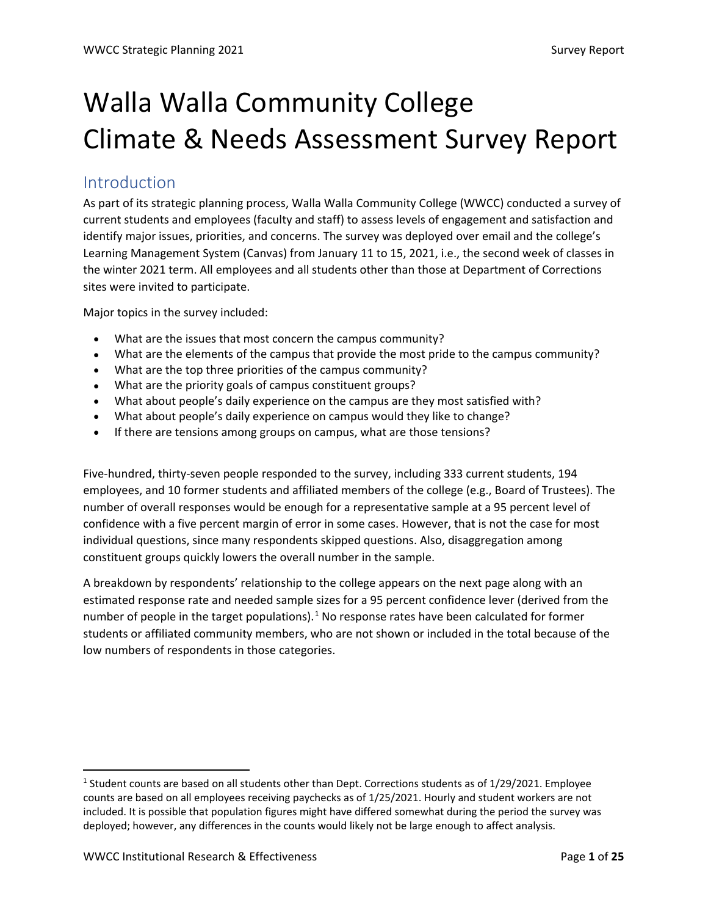# Walla Walla Community College Climate & Needs Assessment Survey Report

# Introduction

As part of its strategic planning process, Walla Walla Community College (WWCC) conducted a survey of current students and employees (faculty and staff) to assess levels of engagement and satisfaction and identify major issues, priorities, and concerns. The survey was deployed over email and the college's Learning Management System (Canvas) from January 11 to 15, 2021, i.e., the second week of classes in the winter 2021 term. All employees and all students other than those at Department of Corrections sites were invited to participate.

Major topics in the survey included:

- What are the issues that most concern the campus community?
- What are the elements of the campus that provide the most pride to the campus community?
- What are the top three priorities of the campus community?
- What are the priority goals of campus constituent groups?
- What about people's daily experience on the campus are they most satisfied with?
- What about people's daily experience on campus would they like to change?
- If there are tensions among groups on campus, what are those tensions?

Five-hundred, thirty-seven people responded to the survey, including 333 current students, 194 employees, and 10 former students and affiliated members of the college (e.g., Board of Trustees). The number of overall responses would be enough for a representative sample at a 95 percent level of confidence with a five percent margin of error in some cases. However, that is not the case for most individual questions, since many respondents skipped questions. Also, disaggregation among constituent groups quickly lowers the overall number in the sample.

A breakdown by respondents' relationship to the college appears on the next page along with an estimated response rate and needed sample sizes for a 95 percent confidence lever (derived from the number of people in the target populations). $<sup>1</sup>$  $<sup>1</sup>$  $<sup>1</sup>$  No response rates have been calculated for former</sup> students or affiliated community members, who are not shown or included in the total because of the low numbers of respondents in those categories.

<span id="page-0-0"></span><sup>&</sup>lt;sup>1</sup> Student counts are based on all students other than Dept. Corrections students as of 1/29/2021. Employee counts are based on all employees receiving paychecks as of 1/25/2021. Hourly and student workers are not included. It is possible that population figures might have differed somewhat during the period the survey was deployed; however, any differences in the counts would likely not be large enough to affect analysis.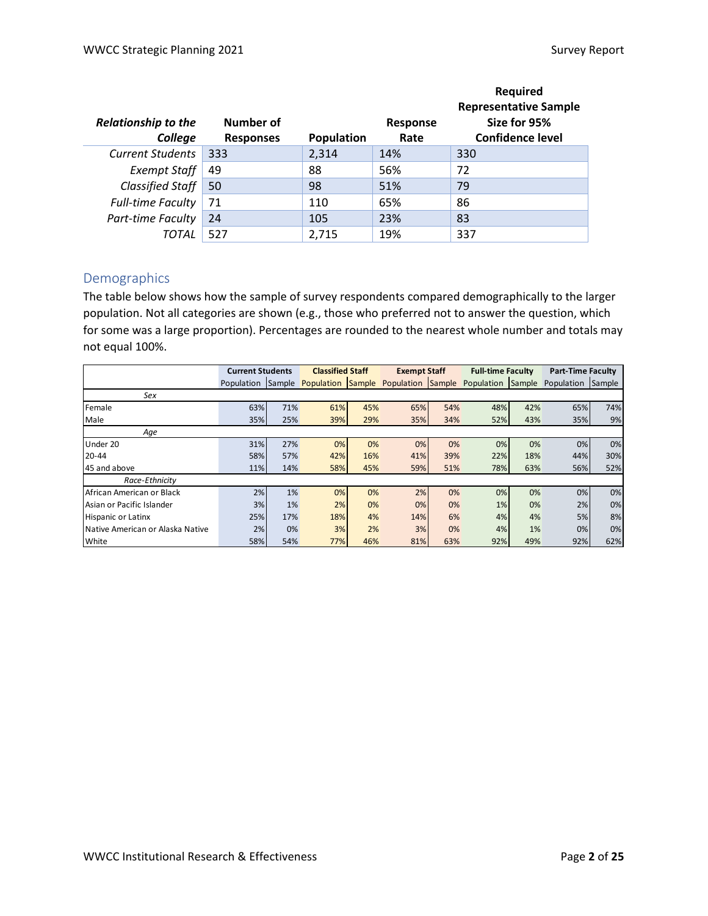| <b>Relationship to the</b><br>College | Number of<br><b>Responses</b> | <b>Population</b> | Response<br>Rate | <b>Required</b><br><b>Representative Sample</b><br>Size for 95%<br><b>Confidence level</b> |
|---------------------------------------|-------------------------------|-------------------|------------------|--------------------------------------------------------------------------------------------|
| <b>Current Students</b>               | 333                           | 2,314             | 14%              | 330                                                                                        |
| <b>Exempt Staff</b>                   | 49                            | 88                | 56%              | 72                                                                                         |
| <b>Classified Staff</b>               | 50                            | 98                | 51%              | 79                                                                                         |
| <b>Full-time Faculty</b>              | 71                            | 110               | 65%              | 86                                                                                         |
| Part-time Faculty                     | 24                            | 105               | 23%              | 83                                                                                         |
| TOTAL                                 | 527                           | 2,715             | 19%              | 337                                                                                        |

## Demographics

The table below shows how the sample of survey respondents compared demographically to the larger population. Not all categories are shown (e.g., those who preferred not to answer the question, which for some was a large proportion). Percentages are rounded to the nearest whole number and totals may not equal 100%.

|                                  | <b>Current Students</b> |     | <b>Classified Staff</b> |     | <b>Exempt Staff</b> |     | <b>Full-time Faculty</b> |     | <b>Part-Time Faculty</b> |               |
|----------------------------------|-------------------------|-----|-------------------------|-----|---------------------|-----|--------------------------|-----|--------------------------|---------------|
|                                  | Population Sample       |     | Population Sample       |     | Population Sample   |     | Population Sample        |     | Population               | <b>Sample</b> |
| Sex                              |                         |     |                         |     |                     |     |                          |     |                          |               |
| Female                           | 63%                     | 71% | 61%                     | 45% | 65%                 | 54% | 48%                      | 42% | 65%                      | 74%           |
| <b>Male</b>                      | 35%                     | 25% | 39%                     | 29% | 35%                 | 34% | 52%                      | 43% | 35%                      | 9%            |
| Age                              |                         |     |                         |     |                     |     |                          |     |                          |               |
| Under 20                         | 31%                     | 27% | 0%                      | 0%  | 0%                  | 0%  | 0%                       | 0%  | 0%                       | 0%            |
| $20 - 44$                        | 58%                     | 57% | 42%                     | 16% | 41%                 | 39% | 22%                      | 18% | 44%                      | 30%           |
| 45 and above                     | 11%                     | 14% | 58%                     | 45% | 59%                 | 51% | 78%                      | 63% | 56%                      | 52%           |
| Race-Ethnicity                   |                         |     |                         |     |                     |     |                          |     |                          |               |
| African American or Black        | 2%                      | 1%  | 0%                      | 0%  | 2%                  | 0%  | 0%                       | 0%  | 0%                       | 0%            |
| Asian or Pacific Islander        | 3%                      | 1%  | 2%                      | 0%  | 0%                  | 0%  | 1%                       | 0%  | 2%                       | 0%            |
| Hispanic or Latinx               | 25%                     | 17% | 18%                     | 4%  | 14%                 | 6%  | 4%                       | 4%  | 5%                       | 8%            |
| Native American or Alaska Native | 2%                      | 0%  | 3%                      | 2%  | 3%                  | 0%  | 4%                       | 1%  | 0%                       | 0%            |
| <b>White</b>                     | 58%                     | 54% | 77%                     | 46% | 81%                 | 63% | 92%                      | 49% | 92%                      | 62%           |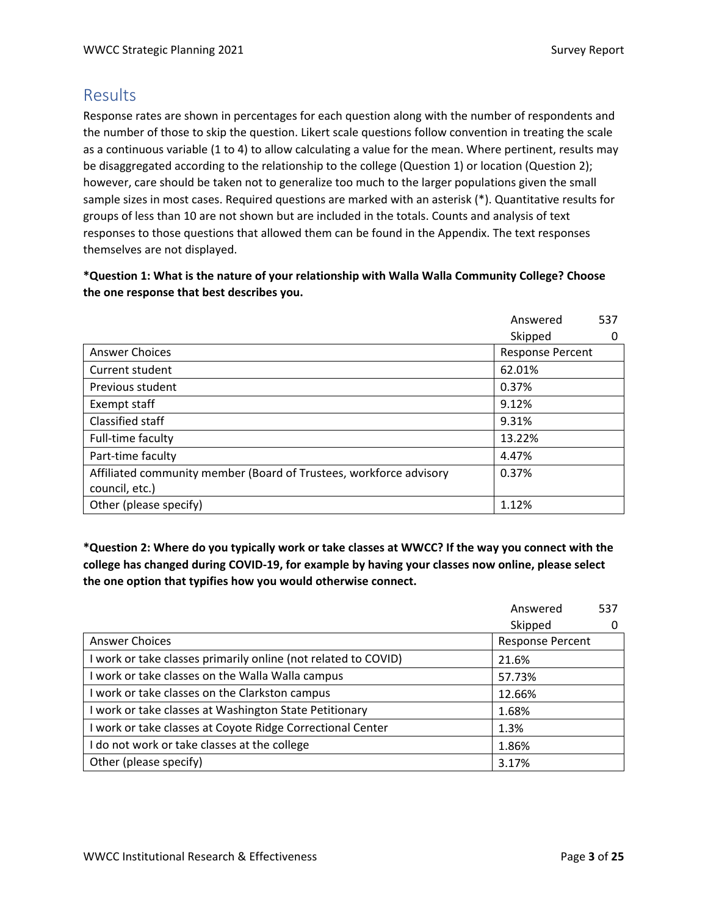## **Results**

Response rates are shown in percentages for each question along with the number of respondents and the number of those to skip the question. Likert scale questions follow convention in treating the scale as a continuous variable (1 to 4) to allow calculating a value for the mean. Where pertinent, results may be disaggregated according to the relationship to the college (Question 1) or location (Question 2); however, care should be taken not to generalize too much to the larger populations given the small sample sizes in most cases. Required questions are marked with an asterisk (\*). Quantitative results for groups of less than 10 are not shown but are included in the totals. Counts and analysis of text responses to those questions that allowed them can be found in the Appendix. The text responses themselves are not displayed.

**\*Question 1: What is the nature of your relationship with Walla Walla Community College? Choose the one response that best describes you.**

|                                                                    | Answered                | 537 |
|--------------------------------------------------------------------|-------------------------|-----|
|                                                                    | Skipped                 |     |
| <b>Answer Choices</b>                                              | <b>Response Percent</b> |     |
| Current student                                                    | 62.01%                  |     |
| Previous student                                                   | 0.37%                   |     |
| Exempt staff                                                       | 9.12%                   |     |
| Classified staff                                                   | 9.31%                   |     |
| Full-time faculty                                                  | 13.22%                  |     |
| Part-time faculty                                                  | 4.47%                   |     |
| Affiliated community member (Board of Trustees, workforce advisory | 0.37%                   |     |
| council, etc.)                                                     |                         |     |
| Other (please specify)                                             | 1.12%                   |     |

**\*Question 2: Where do you typically work or take classes at WWCC? If the way you connect with the college has changed during COVID-19, for example by having your classes now online, please select the one option that typifies how you would otherwise connect.**

|                                                                | Answered                | 537 |
|----------------------------------------------------------------|-------------------------|-----|
|                                                                | Skipped                 |     |
| Answer Choices                                                 | <b>Response Percent</b> |     |
| I work or take classes primarily online (not related to COVID) | 21.6%                   |     |
| I work or take classes on the Walla Walla campus               | 57.73%                  |     |
| I work or take classes on the Clarkston campus                 | 12.66%                  |     |
| I work or take classes at Washington State Petitionary         | 1.68%                   |     |
| I work or take classes at Coyote Ridge Correctional Center     | 1.3%                    |     |
| I do not work or take classes at the college                   | 1.86%                   |     |
| Other (please specify)                                         | 3.17%                   |     |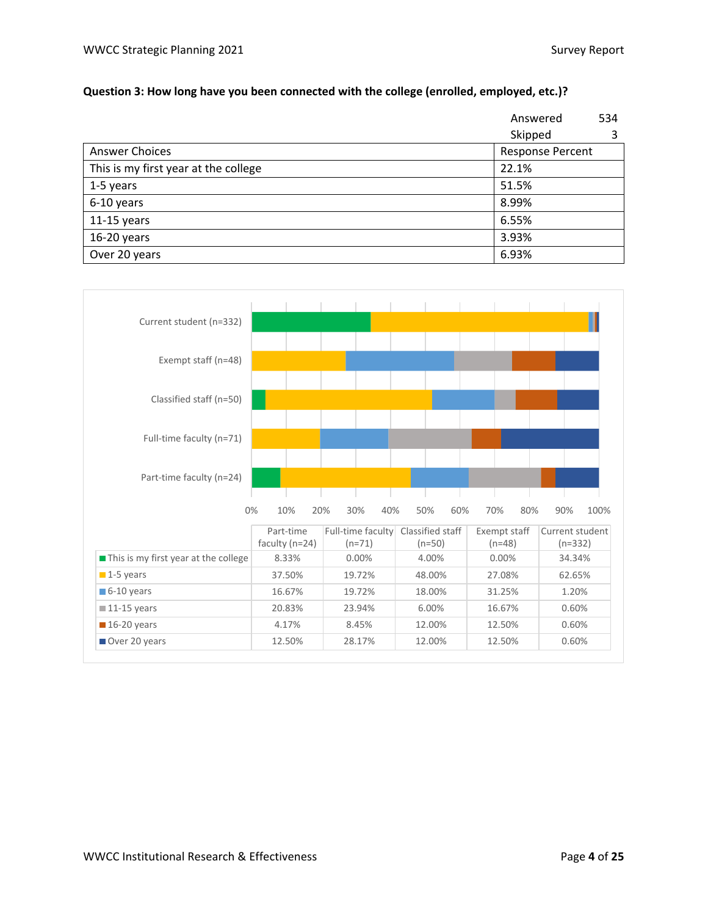#### **Question 3: How long have you been connected with the college (enrolled, employed, etc.)?**

|                                      | Answered                | 534 |
|--------------------------------------|-------------------------|-----|
|                                      | Skipped                 |     |
| <b>Answer Choices</b>                | <b>Response Percent</b> |     |
| This is my first year at the college | 22.1%                   |     |
| 1-5 years                            | 51.5%                   |     |
| 6-10 years                           | 8.99%                   |     |
| $11-15$ years                        | 6.55%                   |     |
| 16-20 years                          | 3.93%                   |     |
| Over 20 years                        | 6.93%                   |     |

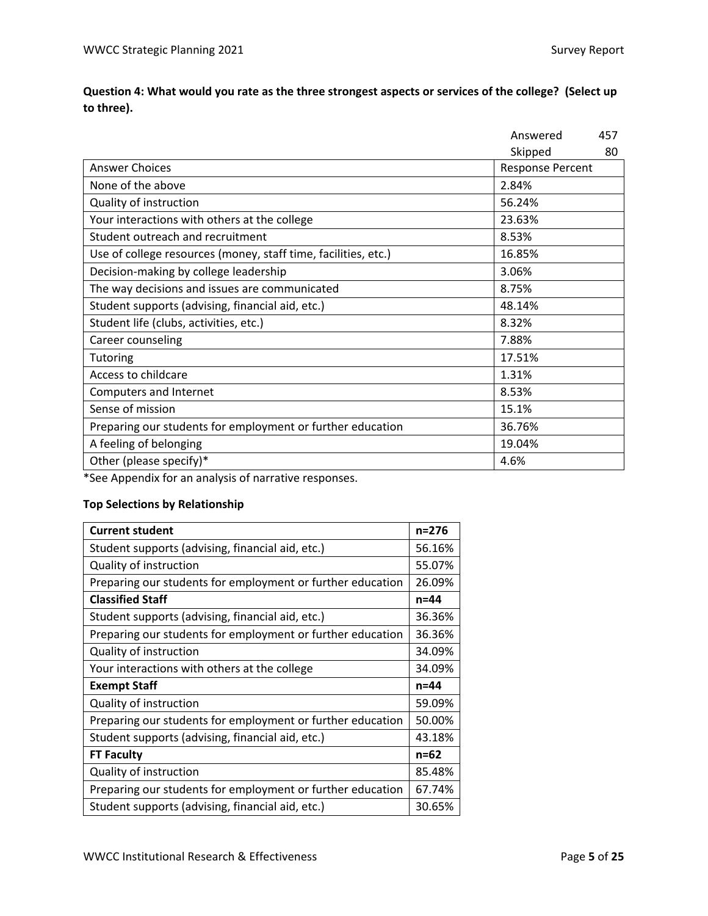## **Question 4: What would you rate as the three strongest aspects or services of the college? (Select up to three).**

|                                                                | Answered                | 457 |
|----------------------------------------------------------------|-------------------------|-----|
|                                                                | Skipped                 | 80  |
| <b>Answer Choices</b>                                          | <b>Response Percent</b> |     |
| None of the above                                              | 2.84%                   |     |
| Quality of instruction                                         | 56.24%                  |     |
| Your interactions with others at the college                   | 23.63%                  |     |
| Student outreach and recruitment                               | 8.53%                   |     |
| Use of college resources (money, staff time, facilities, etc.) | 16.85%                  |     |
| Decision-making by college leadership                          | 3.06%                   |     |
| The way decisions and issues are communicated                  | 8.75%                   |     |
| Student supports (advising, financial aid, etc.)               | 48.14%                  |     |
| Student life (clubs, activities, etc.)                         | 8.32%                   |     |
| Career counseling                                              | 7.88%                   |     |
| Tutoring                                                       | 17.51%                  |     |
| Access to childcare                                            | 1.31%                   |     |
| Computers and Internet                                         | 8.53%                   |     |
| Sense of mission                                               | 15.1%                   |     |
| Preparing our students for employment or further education     | 36.76%                  |     |
| A feeling of belonging                                         | 19.04%                  |     |
| Other (please specify)*                                        | 4.6%                    |     |

\*See Appendix for an analysis of narrative responses.

| <b>Current student</b>                                     | $n = 276$ |
|------------------------------------------------------------|-----------|
| Student supports (advising, financial aid, etc.)           | 56.16%    |
| Quality of instruction                                     | 55.07%    |
| Preparing our students for employment or further education | 26.09%    |
| <b>Classified Staff</b>                                    | $n = 44$  |
| Student supports (advising, financial aid, etc.)           | 36.36%    |
| Preparing our students for employment or further education | 36.36%    |
| Quality of instruction                                     | 34.09%    |
| Your interactions with others at the college               | 34.09%    |
| <b>Exempt Staff</b>                                        | n=44      |
| Quality of instruction                                     | 59.09%    |
| Preparing our students for employment or further education | 50.00%    |
| Student supports (advising, financial aid, etc.)           | 43.18%    |
| <b>FT Faculty</b>                                          | n=62      |
| Quality of instruction                                     | 85.48%    |
| Preparing our students for employment or further education | 67.74%    |
| Student supports (advising, financial aid, etc.)           | 30.65%    |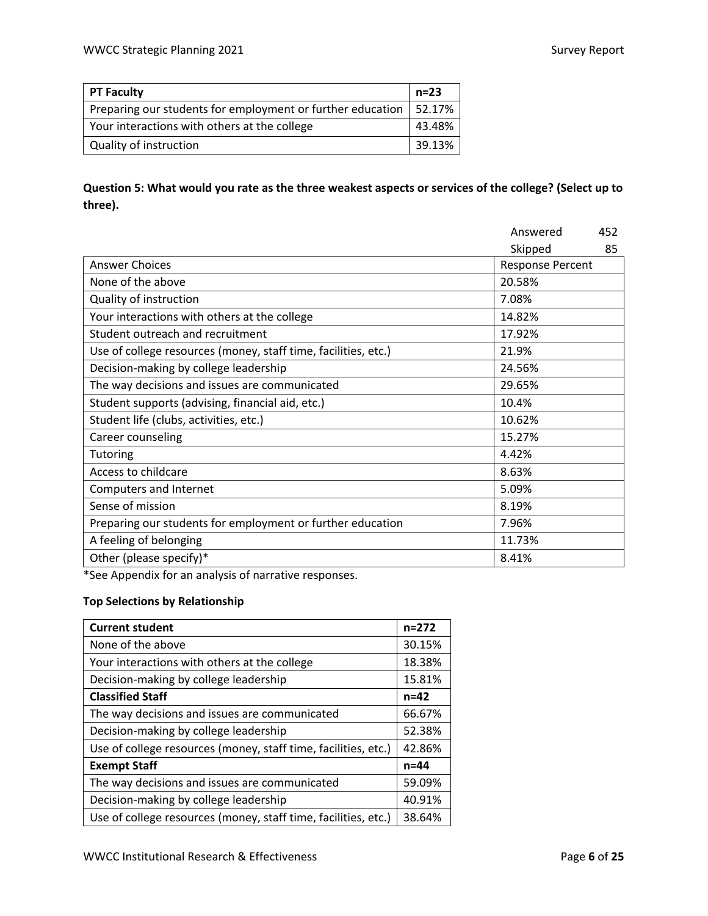| <b>PT Faculty</b>                                          | n=23    |
|------------------------------------------------------------|---------|
| Preparing our students for employment or further education | 152.17% |
| Your interactions with others at the college               | 43.48%  |
| <b>Quality of instruction</b>                              | 39.13%  |

## **Question 5: What would you rate as the three weakest aspects or services of the college? (Select up to three).**

|                                                                | Answered                | 452 |
|----------------------------------------------------------------|-------------------------|-----|
|                                                                | Skipped                 | 85  |
| <b>Answer Choices</b>                                          | <b>Response Percent</b> |     |
| None of the above                                              | 20.58%                  |     |
| Quality of instruction                                         | 7.08%                   |     |
| Your interactions with others at the college                   | 14.82%                  |     |
| Student outreach and recruitment                               | 17.92%                  |     |
| Use of college resources (money, staff time, facilities, etc.) | 21.9%                   |     |
| Decision-making by college leadership                          | 24.56%                  |     |
| The way decisions and issues are communicated                  | 29.65%                  |     |
| Student supports (advising, financial aid, etc.)               | 10.4%                   |     |
| Student life (clubs, activities, etc.)                         | 10.62%                  |     |
| Career counseling                                              | 15.27%                  |     |
| Tutoring                                                       | 4.42%                   |     |
| Access to childcare                                            | 8.63%                   |     |
| Computers and Internet                                         | 5.09%                   |     |
| Sense of mission                                               | 8.19%                   |     |
| Preparing our students for employment or further education     | 7.96%                   |     |
| A feeling of belonging                                         | 11.73%                  |     |
| Other (please specify)*                                        | 8.41%                   |     |

\*See Appendix for an analysis of narrative responses.

| <b>Current student</b>                                         | $n = 272$ |
|----------------------------------------------------------------|-----------|
| None of the above                                              | 30.15%    |
| Your interactions with others at the college                   | 18.38%    |
| Decision-making by college leadership                          | 15.81%    |
| <b>Classified Staff</b>                                        | n=42      |
| The way decisions and issues are communicated                  | 66.67%    |
| Decision-making by college leadership                          | 52.38%    |
| Use of college resources (money, staff time, facilities, etc.) | 42.86%    |
| <b>Exempt Staff</b>                                            | n=44      |
| The way decisions and issues are communicated                  | 59.09%    |
| Decision-making by college leadership                          | 40.91%    |
| Use of college resources (money, staff time, facilities, etc.) | 38.64%    |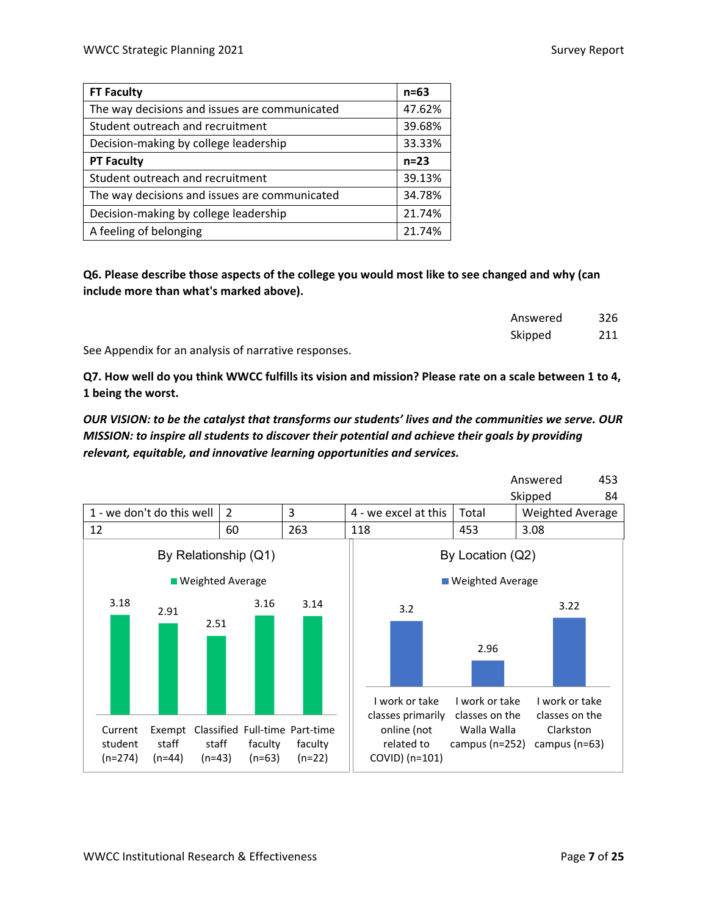| <b>FT Faculty</b>                             | n=63   |
|-----------------------------------------------|--------|
| The way decisions and issues are communicated | 47.62% |
| Student outreach and recruitment              | 39.68% |
| Decision-making by college leadership         | 33.33% |
| <b>PT Faculty</b>                             | $n=23$ |
| Student outreach and recruitment              | 39.13% |
| The way decisions and issues are communicated | 34.78% |
| Decision-making by college leadership         | 21.74% |
| A feeling of belonging                        | 21.74% |

**Q6. Please describe those aspects of the college you would most like to see changed and why (can include more than what's marked above).**

|                                                      | Answered | 326 |
|------------------------------------------------------|----------|-----|
|                                                      | Skipped  | 211 |
| See Appendix for an analysis of narrative responses. |          |     |

**Q7. How well do you think WWCC fulfills its vision and mission? Please rate on a scale between 1 to 4, 1 being the worst.** 

*OUR VISION: to be the catalyst that transforms our students' lives and the communities we serve. OUR MISSION: to inspire all students to discover their potential and achieve their goals by providing relevant, equitable, and innovative learning opportunities and services.*

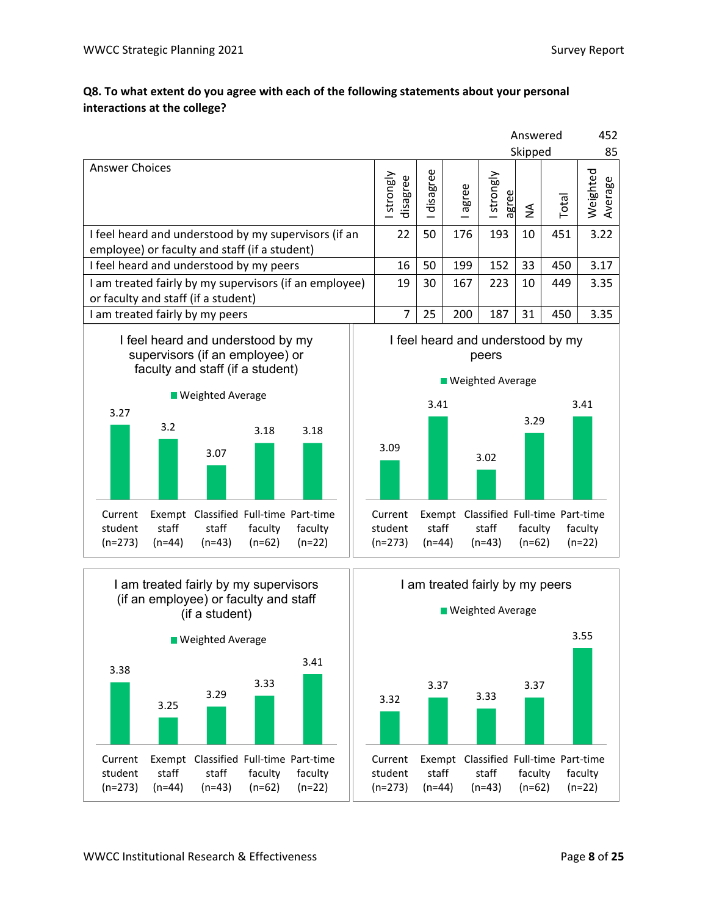## **Q8. To what extent do you agree with each of the following statements about your personal interactions at the college?**

|                                                                                                                                                                  |                                 |                   |       |                                                            | Answered            |                                       | 452                 |
|------------------------------------------------------------------------------------------------------------------------------------------------------------------|---------------------------------|-------------------|-------|------------------------------------------------------------|---------------------|---------------------------------------|---------------------|
|                                                                                                                                                                  |                                 |                   |       |                                                            | Skipped             |                                       | 85                  |
| <b>Answer Choices</b>                                                                                                                                            | strongly<br>disagree            | I disagree        | agree | strongly<br>agree                                          | $\lessgtr$          | Total                                 | Weighted<br>Average |
| I feel heard and understood by my supervisors (if an<br>employee) or faculty and staff (if a student)                                                            | 22                              | 50                | 176   | 193                                                        | 10                  | 451                                   | 3.22                |
| I feel heard and understood by my peers                                                                                                                          | 16                              | 50                | 199   | 152                                                        | 33                  | 450                                   | 3.17                |
| I am treated fairly by my supervisors (if an employee)<br>or faculty and staff (if a student)                                                                    | 19                              | 30                | 167   | 223                                                        | 10                  | 449                                   | 3.35                |
| I am treated fairly by my peers                                                                                                                                  | $\overline{7}$                  | 25                | 200   | 187                                                        | 31                  | 450                                   | 3.35                |
| I feel heard and understood by my<br>supervisors (if an employee) or<br>faculty and staff (if a student)                                                         |                                 |                   |       | peers<br>■ Weighted Average                                |                     | I feel heard and understood by my     |                     |
| <b>Neighted Average</b>                                                                                                                                          | 3.41<br>3.41                    |                   |       |                                                            |                     |                                       |                     |
| 3.27<br>3.2<br>3.18<br>3.18<br>3.07                                                                                                                              | 3.09                            |                   |       | 3.02                                                       | 3.29                |                                       |                     |
| Exempt Classified Full-time Part-time<br>Current<br>staff<br>staff<br>student<br>faculty<br>faculty<br>$(n=273)$<br>$(n=44)$<br>$(n=43)$<br>$(n=62)$<br>$(n=22)$ | Current<br>student<br>$(n=273)$ | staff<br>$(n=44)$ |       | staff<br>$(n=43)$                                          | faculty<br>$(n=62)$ | Exempt Classified Full-time Part-time | faculty<br>$(n=22)$ |
| I am treated fairly by my supervisors<br>(if an employee) or faculty and staff<br>(if a student)                                                                 |                                 |                   |       | I am treated fairly by my peers<br><b>Weighted Average</b> |                     |                                       |                     |
| Neighted Average                                                                                                                                                 |                                 |                   |       |                                                            |                     |                                       | 3.55                |



faculty (n=22)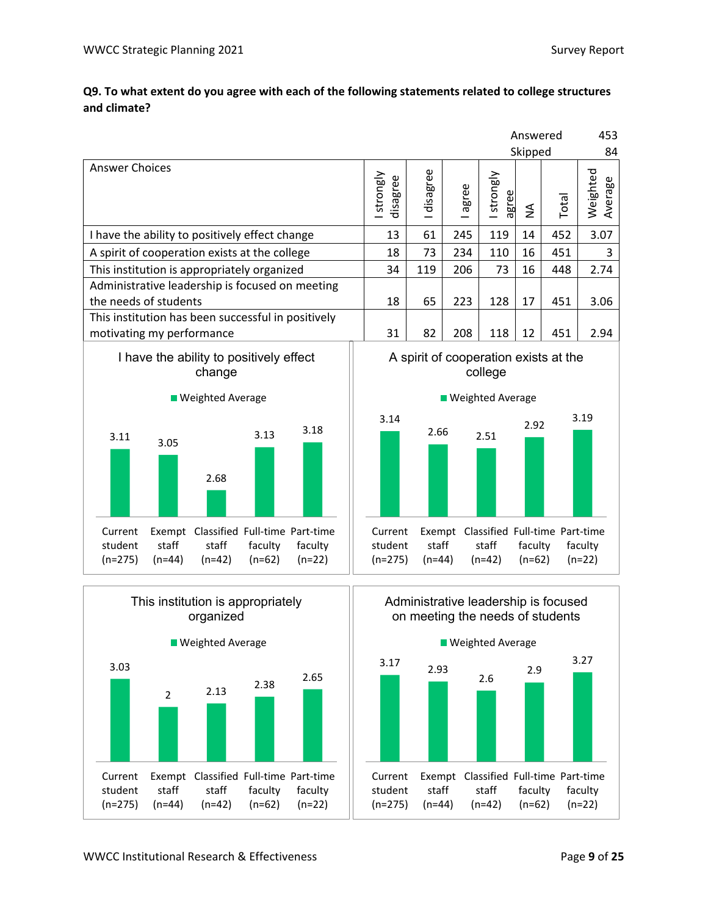## **Q9. To what extent do you agree with each of the following statements related to college structures and climate?**

|                                                                                                                                                                  |                                                  |                   |       |                         | Answered            |                                       | 453                 |
|------------------------------------------------------------------------------------------------------------------------------------------------------------------|--------------------------------------------------|-------------------|-------|-------------------------|---------------------|---------------------------------------|---------------------|
|                                                                                                                                                                  |                                                  |                   |       |                         | Skipped             |                                       | 84                  |
| <b>Answer Choices</b>                                                                                                                                            | strongly<br>disagree                             | disagree          | agree | strongly<br>agree       | $\widetilde{\geq}$  | Total                                 | Weighted<br>Average |
| I have the ability to positively effect change                                                                                                                   | 13                                               | 61                | 245   | 119                     | 14                  | 452                                   | 3.07                |
| A spirit of cooperation exists at the college                                                                                                                    | 18                                               | 73                | 234   | 110                     | 16                  | 451                                   | 3                   |
| This institution is appropriately organized                                                                                                                      | 34                                               | 119               | 206   | 73                      | 16                  | 448                                   | 2.74                |
| Administrative leadership is focused on meeting<br>the needs of students                                                                                         | 18                                               | 65                | 223   | 128                     | 17                  | 451                                   | 3.06                |
| This institution has been successful in positively<br>motivating my performance                                                                                  | 31                                               | 82                | 208   | 118                     | 12                  | 451                                   | 2.94                |
| I have the ability to positively effect<br>change                                                                                                                | A spirit of cooperation exists at the<br>college |                   |       |                         |                     |                                       |                     |
| <b>Weighted Average</b>                                                                                                                                          |                                                  |                   |       | <b>Weighted Average</b> |                     |                                       |                     |
| 3.18<br>3.13<br>3.11<br>3.05<br>2.68                                                                                                                             | 3.14                                             | 2.66              |       | 2.51                    | 2.92                |                                       | 3.19                |
| Exempt Classified Full-time Part-time<br>Current<br>staff<br>staff<br>student<br>faculty<br>faculty<br>$(n=275)$<br>$(n=42)$<br>$(n=62)$<br>$(n=22)$<br>$(n=44)$ | Current<br>student<br>$(n=275)$                  | staff<br>$(n=44)$ |       | staff<br>$(n=42)$       | faculty<br>$(n=62)$ | Exempt Classified Full-time Part-time | faculty<br>$(n=22)$ |



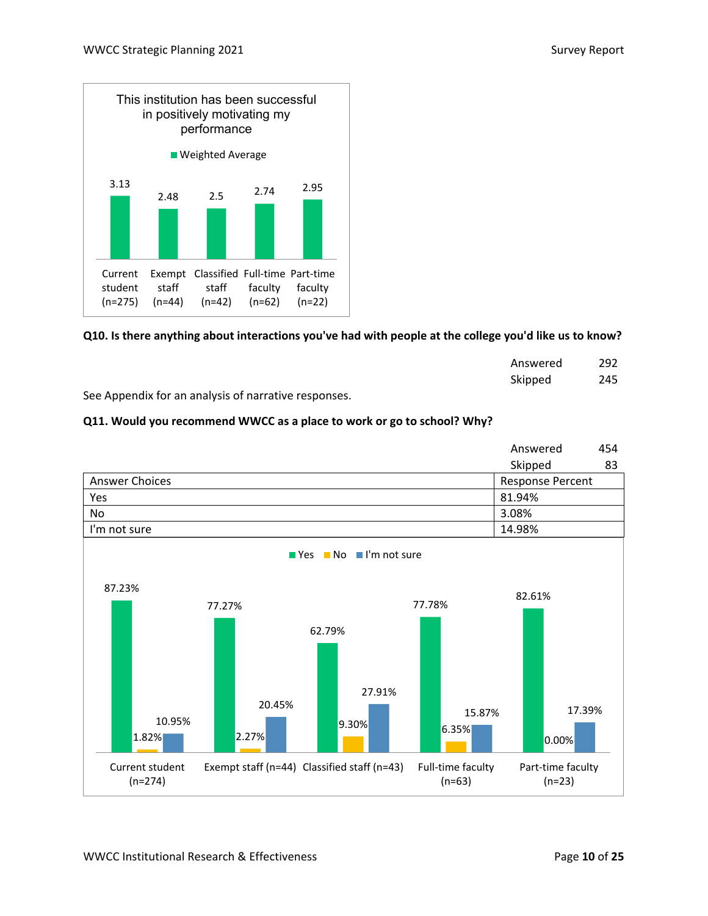

#### **Q10. Is there anything about interactions you've had with people at the college you'd like us to know?**

| Answered | 292 |
|----------|-----|
| Skipped  | 245 |

See Appendix for an analysis of narrative responses.

#### **Q11. Would you recommend WWCC as a place to work or go to school? Why?**

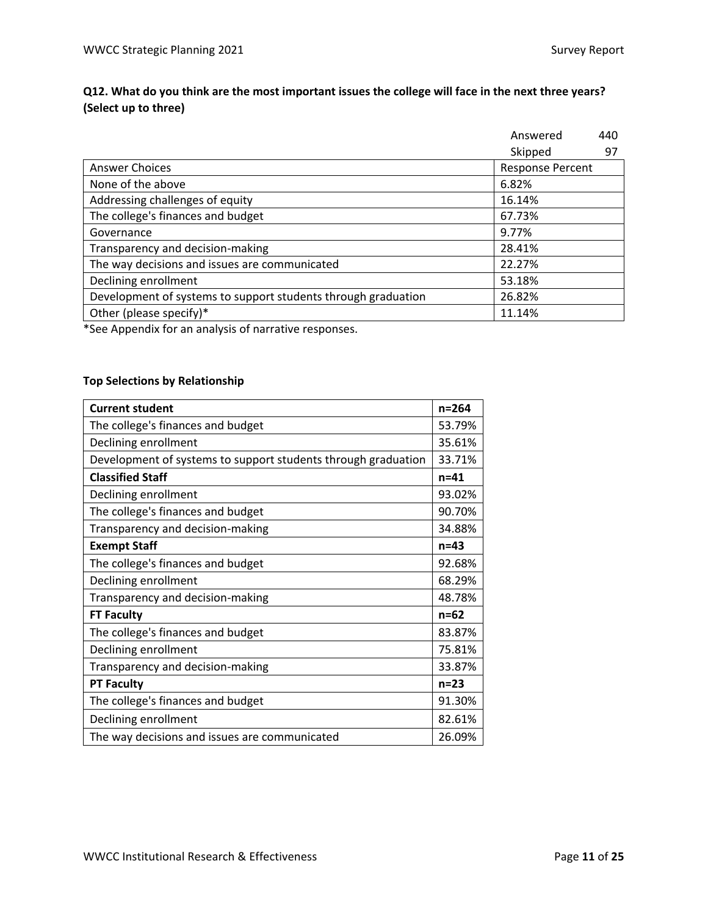## **Q12. What do you think are the most important issues the college will face in the next three years? (Select up to three)**

|                                                               | Answered                | 440 |
|---------------------------------------------------------------|-------------------------|-----|
|                                                               | Skipped                 | 97  |
| Answer Choices                                                | <b>Response Percent</b> |     |
| None of the above                                             | 6.82%                   |     |
| Addressing challenges of equity                               | 16.14%                  |     |
| The college's finances and budget                             | 67.73%                  |     |
| Governance                                                    | 9.77%                   |     |
| Transparency and decision-making                              | 28.41%                  |     |
| The way decisions and issues are communicated                 | 22.27%                  |     |
| Declining enrollment                                          | 53.18%                  |     |
| Development of systems to support students through graduation | 26.82%                  |     |
| Other (please specify)*                                       | 11.14%                  |     |

\*See Appendix for an analysis of narrative responses.

| <b>Current student</b>                                        | $n = 264$ |
|---------------------------------------------------------------|-----------|
| The college's finances and budget                             | 53.79%    |
| Declining enrollment                                          | 35.61%    |
| Development of systems to support students through graduation | 33.71%    |
| <b>Classified Staff</b>                                       | $n = 41$  |
| Declining enrollment                                          | 93.02%    |
| The college's finances and budget                             | 90.70%    |
| Transparency and decision-making                              | 34.88%    |
| <b>Exempt Staff</b>                                           | $n=43$    |
| The college's finances and budget                             | 92.68%    |
| Declining enrollment                                          | 68.29%    |
| Transparency and decision-making                              | 48.78%    |
| <b>FT Faculty</b>                                             | $n = 62$  |
| The college's finances and budget                             | 83.87%    |
| Declining enrollment                                          | 75.81%    |
| Transparency and decision-making                              | 33.87%    |
| <b>PT Faculty</b>                                             | $n=23$    |
| The college's finances and budget                             | 91.30%    |
| Declining enrollment                                          | 82.61%    |
| The way decisions and issues are communicated                 | 26.09%    |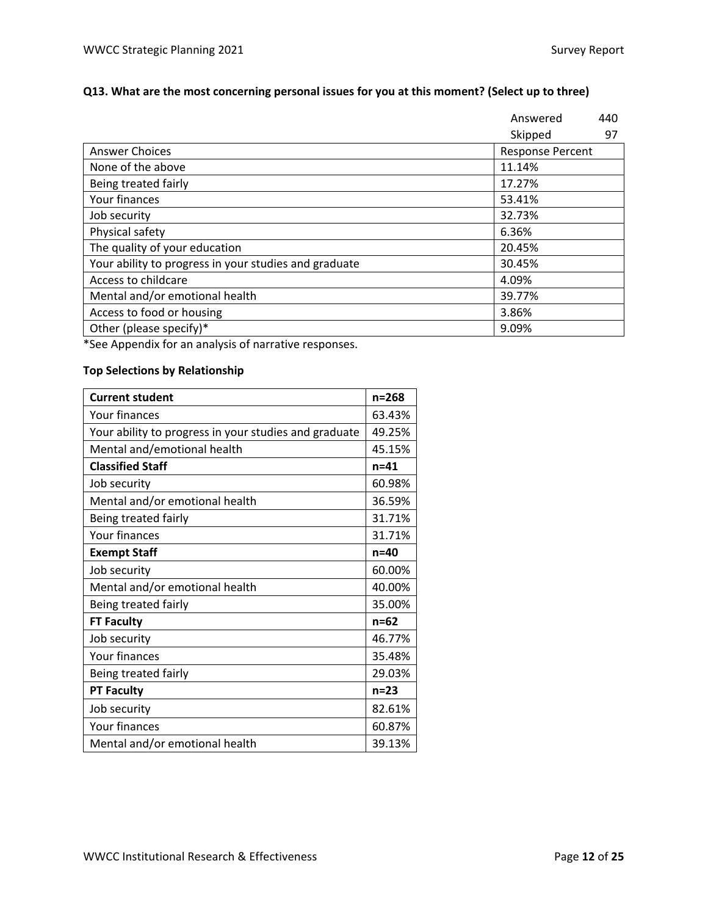## **Q13. What are the most concerning personal issues for you at this moment? (Select up to three)**

|                                                       | Answered                | 440 |
|-------------------------------------------------------|-------------------------|-----|
|                                                       | Skipped                 | 97  |
| Answer Choices                                        | <b>Response Percent</b> |     |
| None of the above                                     | 11.14%                  |     |
| Being treated fairly                                  | 17.27%                  |     |
| Your finances                                         | 53.41%                  |     |
| Job security                                          | 32.73%                  |     |
| Physical safety                                       | 6.36%                   |     |
| The quality of your education                         | 20.45%                  |     |
| Your ability to progress in your studies and graduate | 30.45%                  |     |
| Access to childcare                                   | 4.09%                   |     |
| Mental and/or emotional health                        | 39.77%                  |     |
| Access to food or housing                             | 3.86%                   |     |
| Other (please specify)*                               | 9.09%                   |     |

\*See Appendix for an analysis of narrative responses.

| <b>Current student</b>                                | $n = 268$ |
|-------------------------------------------------------|-----------|
| Your finances                                         | 63.43%    |
| Your ability to progress in your studies and graduate | 49.25%    |
| Mental and/emotional health                           | 45.15%    |
| <b>Classified Staff</b>                               | $n=41$    |
| Job security                                          | 60.98%    |
| Mental and/or emotional health                        | 36.59%    |
| Being treated fairly                                  | 31.71%    |
| <b>Your finances</b>                                  | 31.71%    |
| <b>Exempt Staff</b>                                   | $n=40$    |
| Job security                                          | 60.00%    |
| Mental and/or emotional health                        | 40.00%    |
| Being treated fairly                                  | 35.00%    |
| <b>FT Faculty</b>                                     | $n=62$    |
| Job security                                          | 46.77%    |
| <b>Your finances</b>                                  | 35.48%    |
| Being treated fairly                                  | 29.03%    |
| <b>PT Faculty</b>                                     | $n=23$    |
| Job security                                          | 82.61%    |
| Your finances                                         | 60.87%    |
| Mental and/or emotional health                        | 39.13%    |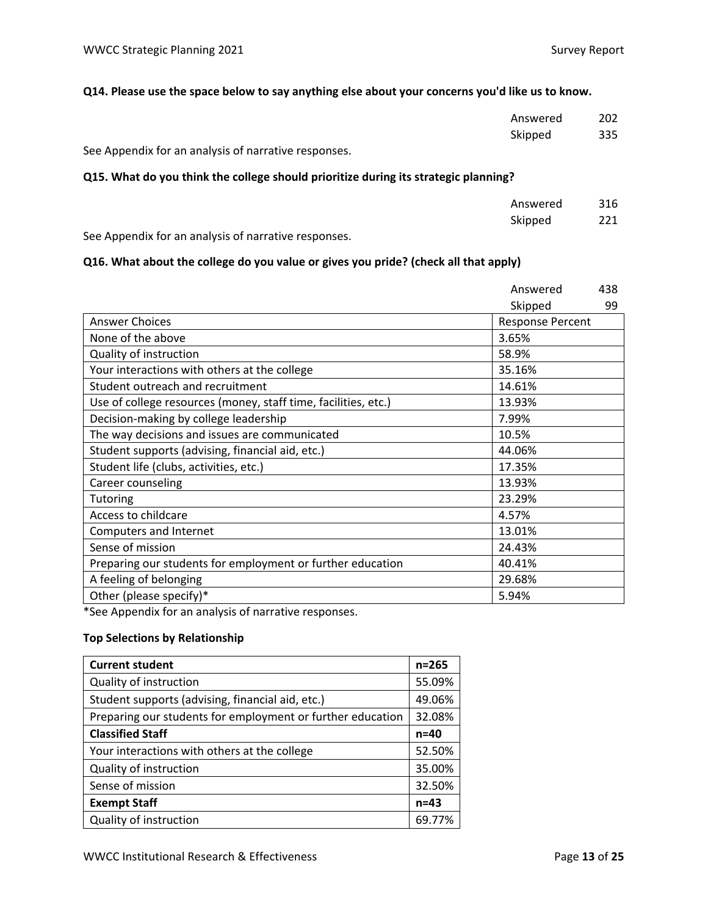#### **Q14. Please use the space below to say anything else about your concerns you'd like us to know.**

|                                                      | Answered | 202 |
|------------------------------------------------------|----------|-----|
|                                                      | Skipped  | 335 |
| See Appendix for an analysis of narrative responses. |          |     |

#### **Q15. What do you think the college should prioritize during its strategic planning?**

|                                                      | Answered | 316 |
|------------------------------------------------------|----------|-----|
|                                                      | Skipped  | 221 |
| See Appendix for an analysis of narrative responses. |          |     |

#### **Q16. What about the college do you value or gives you pride? (check all that apply)**

|                                                                | Answered                | 438 |
|----------------------------------------------------------------|-------------------------|-----|
|                                                                | Skipped                 | 99  |
| <b>Answer Choices</b>                                          | <b>Response Percent</b> |     |
| None of the above                                              | 3.65%                   |     |
| Quality of instruction                                         | 58.9%                   |     |
| Your interactions with others at the college                   | 35.16%                  |     |
| Student outreach and recruitment                               | 14.61%                  |     |
| Use of college resources (money, staff time, facilities, etc.) | 13.93%                  |     |
| Decision-making by college leadership                          | 7.99%                   |     |
| The way decisions and issues are communicated                  | 10.5%                   |     |
| Student supports (advising, financial aid, etc.)               | 44.06%                  |     |
| Student life (clubs, activities, etc.)                         | 17.35%                  |     |
| Career counseling                                              | 13.93%                  |     |
| <b>Tutoring</b>                                                | 23.29%                  |     |
| Access to childcare                                            | 4.57%                   |     |
| Computers and Internet                                         | 13.01%                  |     |
| Sense of mission                                               | 24.43%                  |     |
| Preparing our students for employment or further education     | 40.41%                  |     |
| A feeling of belonging                                         | 29.68%                  |     |
| Other (please specify)*                                        | 5.94%                   |     |

\*See Appendix for an analysis of narrative responses.

| <b>Current student</b>                                     | $n = 265$ |
|------------------------------------------------------------|-----------|
| Quality of instruction                                     | 55.09%    |
| Student supports (advising, financial aid, etc.)           | 49.06%    |
| Preparing our students for employment or further education | 32.08%    |
| <b>Classified Staff</b>                                    | $n = 40$  |
| Your interactions with others at the college               | 52.50%    |
| Quality of instruction                                     | 35.00%    |
| Sense of mission                                           | 32.50%    |
| <b>Exempt Staff</b>                                        | $n=43$    |
| Quality of instruction                                     | 69.77%    |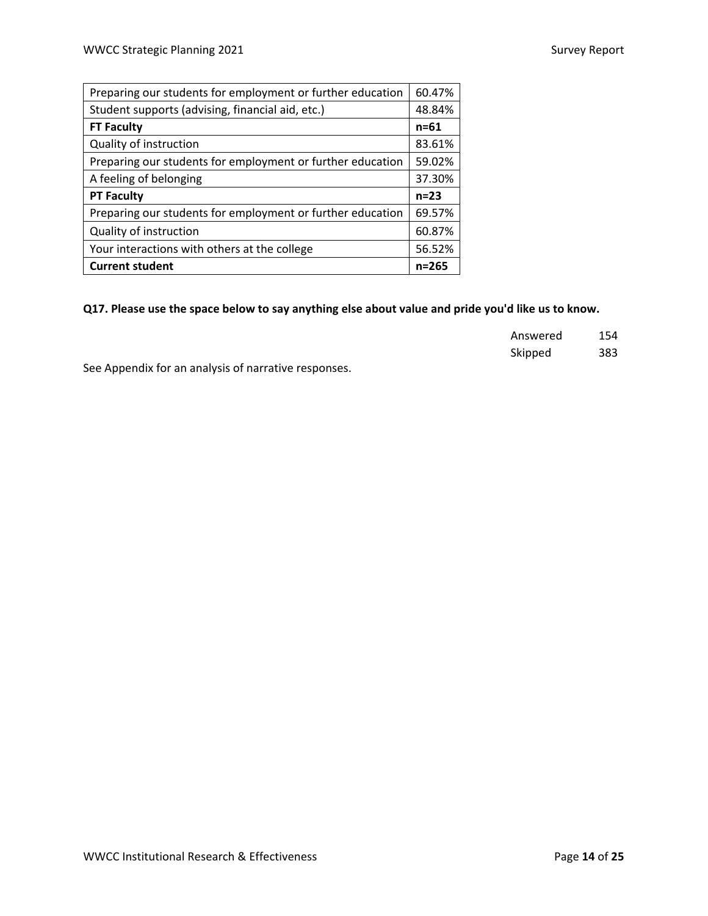| Preparing our students for employment or further education | 60.47%    |
|------------------------------------------------------------|-----------|
| Student supports (advising, financial aid, etc.)           | 48.84%    |
| <b>FT Faculty</b>                                          | n=61      |
| Quality of instruction                                     | 83.61%    |
| Preparing our students for employment or further education | 59.02%    |
| A feeling of belonging                                     | 37.30%    |
| <b>PT Faculty</b>                                          | $n=23$    |
| Preparing our students for employment or further education | 69.57%    |
| Quality of instruction                                     | 60.87%    |
| Your interactions with others at the college               | 56.52%    |
| <b>Current student</b>                                     | $n = 265$ |

## **Q17. Please use the space below to say anything else about value and pride you'd like us to know.**

| Answered | 154 |
|----------|-----|
| Skipped  | 383 |

See Appendix for an analysis of narrative responses.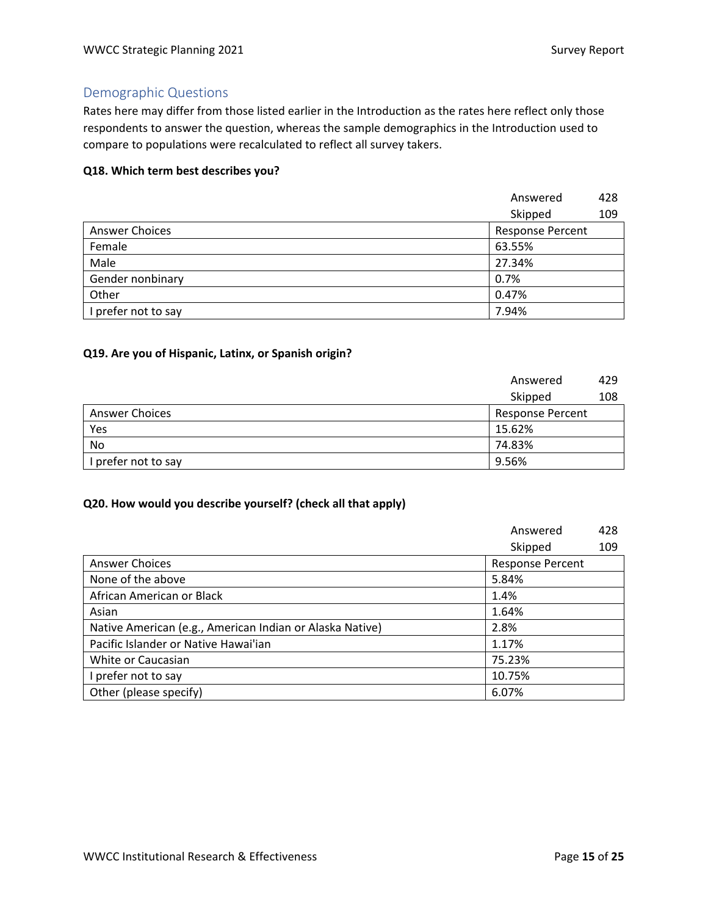## Demographic Questions

Rates here may differ from those listed earlier in the Introduction as the rates here reflect only those respondents to answer the question, whereas the sample demographics in the Introduction used to compare to populations were recalculated to reflect all survey takers.

#### **Q18. Which term best describes you?**

|                       | Answered                | 428 |
|-----------------------|-------------------------|-----|
|                       | Skipped                 | 109 |
| <b>Answer Choices</b> | <b>Response Percent</b> |     |
| Female                | 63.55%                  |     |
| Male                  | 27.34%                  |     |
| Gender nonbinary      | 0.7%                    |     |
| Other                 | 0.47%                   |     |
| I prefer not to say   | 7.94%                   |     |

#### **Q19. Are you of Hispanic, Latinx, or Spanish origin?**

|                       | Answered                | 429 |
|-----------------------|-------------------------|-----|
|                       | Skipped                 | 108 |
| <b>Answer Choices</b> | <b>Response Percent</b> |     |
| Yes                   | 15.62%                  |     |
| No                    | 74.83%                  |     |
| I prefer not to say   | 9.56%                   |     |

#### **Q20. How would you describe yourself? (check all that apply)**

|                                                          | Answered                | 428 |
|----------------------------------------------------------|-------------------------|-----|
|                                                          | Skipped                 | 109 |
| Answer Choices                                           | <b>Response Percent</b> |     |
| None of the above                                        | 5.84%                   |     |
| African American or Black                                | 1.4%                    |     |
| Asian                                                    | 1.64%                   |     |
| Native American (e.g., American Indian or Alaska Native) | 2.8%                    |     |
| Pacific Islander or Native Hawai'ian                     | 1.17%                   |     |
| White or Caucasian                                       | 75.23%                  |     |
| prefer not to say                                        | 10.75%                  |     |
| Other (please specify)                                   | 6.07%                   |     |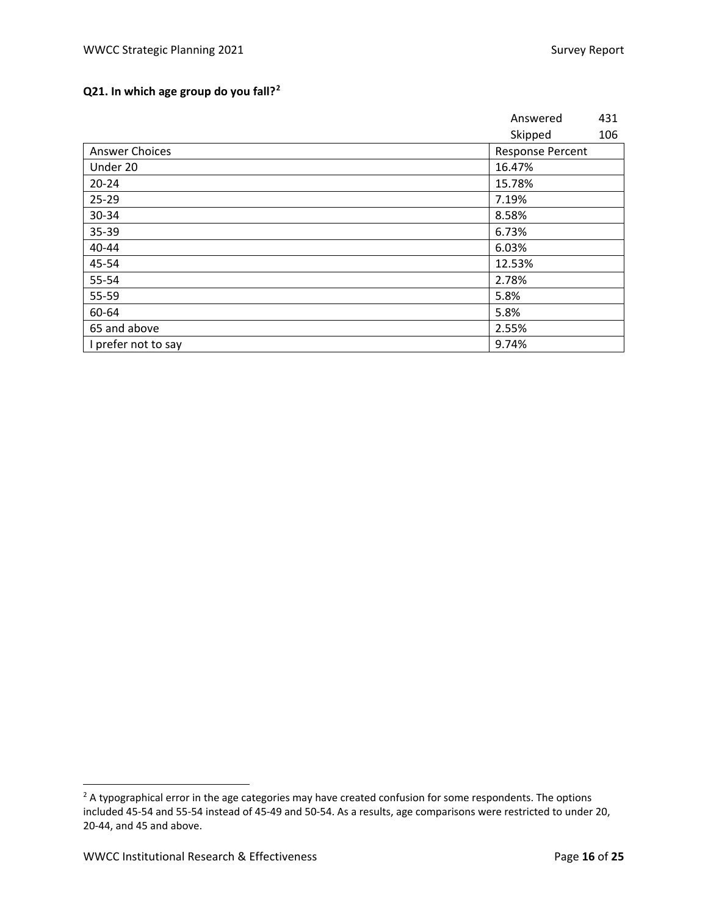# **Q21. In which age group do you fall?[2](#page-15-0)**

|                       | Answered                | 431 |
|-----------------------|-------------------------|-----|
|                       | Skipped                 | 106 |
| <b>Answer Choices</b> | <b>Response Percent</b> |     |
| Under 20              | 16.47%                  |     |
| $20 - 24$             | 15.78%                  |     |
| $25 - 29$             | 7.19%                   |     |
| 30-34                 | 8.58%                   |     |
| 35-39                 | 6.73%                   |     |
| 40-44                 | 6.03%                   |     |
| 45-54                 | 12.53%                  |     |
| 55-54                 | 2.78%                   |     |
| 55-59                 | 5.8%                    |     |
| 60-64                 | 5.8%                    |     |
| 65 and above          | 2.55%                   |     |
| I prefer not to say   | 9.74%                   |     |

<span id="page-15-0"></span><sup>&</sup>lt;sup>2</sup> A typographical error in the age categories may have created confusion for some respondents. The options included 45-54 and 55-54 instead of 45-49 and 50-54. As a results, age comparisons were restricted to under 20, 20-44, and 45 and above.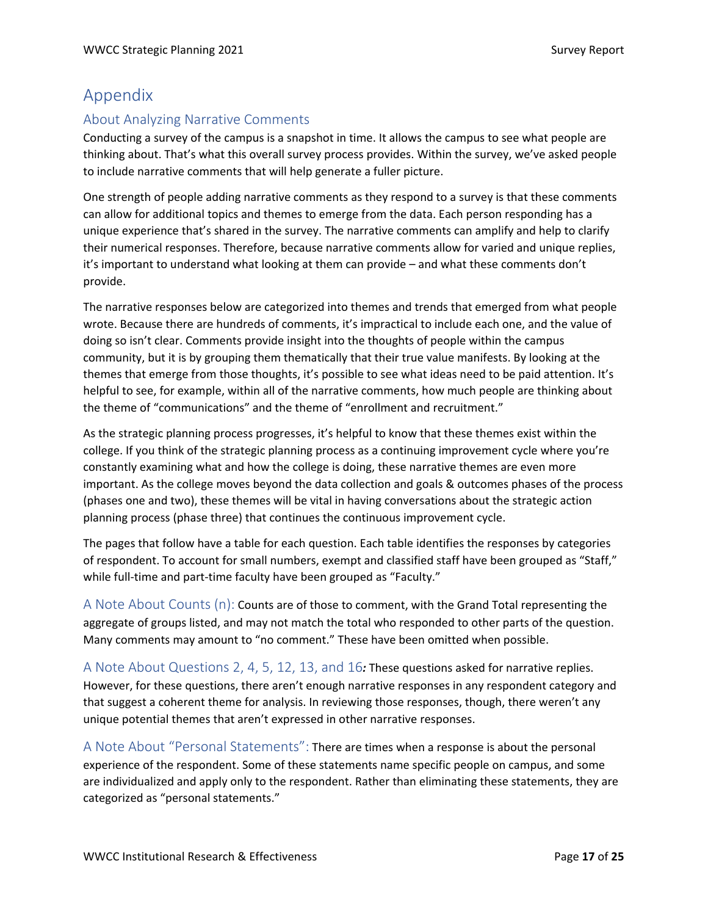# Appendix

## About Analyzing Narrative Comments

Conducting a survey of the campus is a snapshot in time. It allows the campus to see what people are thinking about. That's what this overall survey process provides. Within the survey, we've asked people to include narrative comments that will help generate a fuller picture.

One strength of people adding narrative comments as they respond to a survey is that these comments can allow for additional topics and themes to emerge from the data. Each person responding has a unique experience that's shared in the survey. The narrative comments can amplify and help to clarify their numerical responses. Therefore, because narrative comments allow for varied and unique replies, it's important to understand what looking at them can provide – and what these comments don't provide.

The narrative responses below are categorized into themes and trends that emerged from what people wrote. Because there are hundreds of comments, it's impractical to include each one, and the value of doing so isn't clear. Comments provide insight into the thoughts of people within the campus community, but it is by grouping them thematically that their true value manifests. By looking at the themes that emerge from those thoughts, it's possible to see what ideas need to be paid attention. It's helpful to see, for example, within all of the narrative comments, how much people are thinking about the theme of "communications" and the theme of "enrollment and recruitment."

As the strategic planning process progresses, it's helpful to know that these themes exist within the college. If you think of the strategic planning process as a continuing improvement cycle where you're constantly examining what and how the college is doing, these narrative themes are even more important. As the college moves beyond the data collection and goals & outcomes phases of the process (phases one and two), these themes will be vital in having conversations about the strategic action planning process (phase three) that continues the continuous improvement cycle.

The pages that follow have a table for each question. Each table identifies the responses by categories of respondent. To account for small numbers, exempt and classified staff have been grouped as "Staff," while full-time and part-time faculty have been grouped as "Faculty."

A Note About Counts (n): Counts are of those to comment, with the Grand Total representing the aggregate of groups listed, and may not match the total who responded to other parts of the question. Many comments may amount to "no comment." These have been omitted when possible.

A Note About Questions 2, 4, 5, 12, 13, and 16*:* These questions asked for narrative replies. However, for these questions, there aren't enough narrative responses in any respondent category and that suggest a coherent theme for analysis. In reviewing those responses, though, there weren't any unique potential themes that aren't expressed in other narrative responses.

A Note About "Personal Statements": There are times when a response is about the personal experience of the respondent. Some of these statements name specific people on campus, and some are individualized and apply only to the respondent. Rather than eliminating these statements, they are categorized as "personal statements."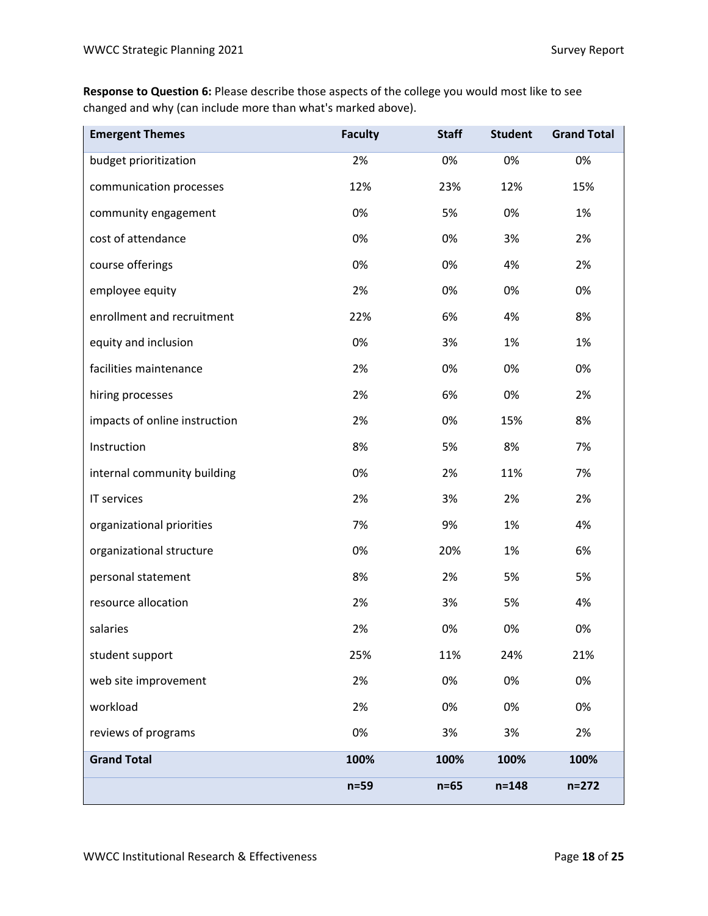**Response to Question 6:** Please describe those aspects of the college you would most like to see changed and why (can include more than what's marked above).

| <b>Emergent Themes</b>        | <b>Faculty</b> | <b>Staff</b> | <b>Student</b> | <b>Grand Total</b> |
|-------------------------------|----------------|--------------|----------------|--------------------|
| budget prioritization         | 2%             | 0%           | 0%             | 0%                 |
| communication processes       | 12%            | 23%          | 12%            | 15%                |
| community engagement          | 0%             | 5%           | 0%             | 1%                 |
| cost of attendance            | 0%             | 0%           | 3%             | 2%                 |
| course offerings              | 0%             | 0%           | 4%             | 2%                 |
| employee equity               | 2%             | 0%           | 0%             | 0%                 |
| enrollment and recruitment    | 22%            | 6%           | 4%             | 8%                 |
| equity and inclusion          | 0%             | 3%           | 1%             | 1%                 |
| facilities maintenance        | 2%             | 0%           | 0%             | 0%                 |
| hiring processes              | 2%             | 6%           | 0%             | 2%                 |
| impacts of online instruction | 2%             | 0%           | 15%            | 8%                 |
| Instruction                   | 8%             | 5%           | 8%             | 7%                 |
| internal community building   | 0%             | 2%           | 11%            | 7%                 |
| IT services                   | 2%             | 3%           | 2%             | 2%                 |
| organizational priorities     | 7%             | 9%           | 1%             | 4%                 |
| organizational structure      | 0%             | 20%          | 1%             | 6%                 |
| personal statement            | 8%             | 2%           | 5%             | 5%                 |
| resource allocation           | 2%             | 3%           | 5%             | 4%                 |
| salaries                      | 2%             | 0%           | 0%             | 0%                 |
| student support               | 25%            | 11%          | 24%            | 21%                |
| web site improvement          | 2%             | 0%           | 0%             | 0%                 |
| workload                      | 2%             | 0%           | 0%             | 0%                 |
| reviews of programs           | 0%             | 3%           | 3%             | 2%                 |
| <b>Grand Total</b>            | 100%           | 100%         | 100%           | 100%               |
|                               | $n=59$         | $n=65$       | $n = 148$      | $n = 272$          |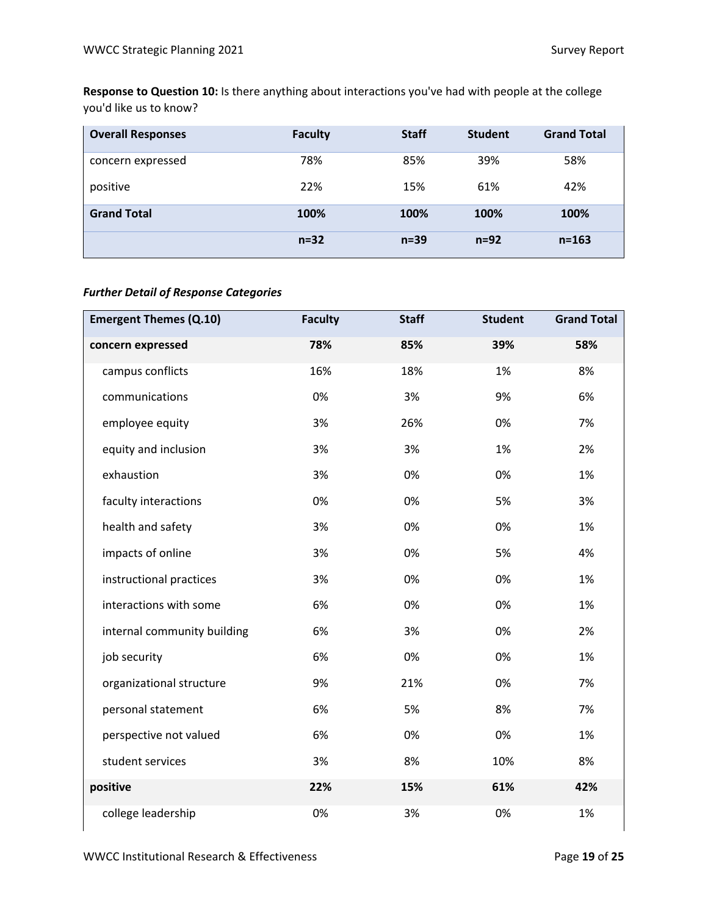**Response to Question 10:** Is there anything about interactions you've had with people at the college you'd like us to know?

| <b>Overall Responses</b> | <b>Faculty</b> | <b>Staff</b> | <b>Student</b> | <b>Grand Total</b> |
|--------------------------|----------------|--------------|----------------|--------------------|
| concern expressed        | 78%            | 85%          | 39%            | 58%                |
| positive                 | 22%            | 15%          | 61%            | 42%                |
| <b>Grand Total</b>       | 100%           | 100%         | 100%           | 100%               |
|                          | $n=32$         | $n=39$       | $n=92$         | $n = 163$          |

#### *Further Detail of Response Categories*

| <b>Emergent Themes (Q.10)</b> | <b>Faculty</b> | <b>Staff</b> | <b>Student</b> | <b>Grand Total</b> |
|-------------------------------|----------------|--------------|----------------|--------------------|
| concern expressed             | 78%            | 85%          | 39%            | 58%                |
| campus conflicts              | 16%            | 18%          | 1%             | 8%                 |
| communications                | 0%             | 3%           | 9%             | 6%                 |
| employee equity               | 3%             | 26%          | 0%             | 7%                 |
| equity and inclusion          | 3%             | 3%           | 1%             | 2%                 |
| exhaustion                    | 3%             | 0%           | 0%             | 1%                 |
| faculty interactions          | 0%             | 0%           | 5%             | 3%                 |
| health and safety             | 3%             | 0%           | 0%             | 1%                 |
| impacts of online             | 3%             | 0%           | 5%             | 4%                 |
| instructional practices       | 3%             | 0%           | 0%             | 1%                 |
| interactions with some        | 6%             | 0%           | 0%             | 1%                 |
| internal community building   | 6%             | 3%           | 0%             | 2%                 |
| job security                  | 6%             | 0%           | 0%             | 1%                 |
| organizational structure      | 9%             | 21%          | 0%             | 7%                 |
| personal statement            | 6%             | 5%           | 8%             | 7%                 |
| perspective not valued        | 6%             | 0%           | 0%             | 1%                 |
| student services              | 3%             | 8%           | 10%            | 8%                 |
| positive                      | 22%            | 15%          | 61%            | 42%                |
| college leadership            | 0%             | 3%           | 0%             | 1%                 |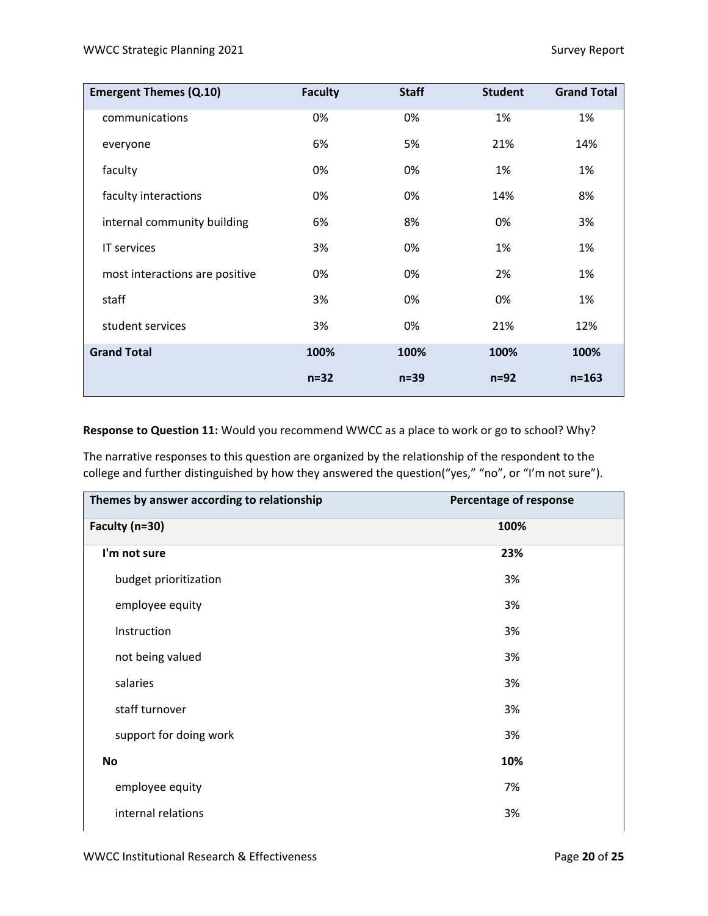| <b>Emergent Themes (Q.10)</b>  | <b>Faculty</b> | <b>Staff</b> | <b>Student</b> | <b>Grand Total</b> |
|--------------------------------|----------------|--------------|----------------|--------------------|
| communications                 | 0%             | 0%           | 1%             | 1%                 |
| everyone                       | 6%             | 5%           | 21%            | 14%                |
| faculty                        | 0%             | 0%           | 1%             | 1%                 |
| faculty interactions           | 0%             | 0%           | 14%            | 8%                 |
| internal community building    | 6%             | 8%           | 0%             | 3%                 |
| IT services                    | 3%             | 0%           | 1%             | 1%                 |
| most interactions are positive | 0%             | 0%           | 2%             | 1%                 |
| staff                          | 3%             | 0%           | 0%             | 1%                 |
| student services               | 3%             | 0%           | 21%            | 12%                |
| <b>Grand Total</b>             | 100%           | 100%         | 100%           | 100%               |
|                                | $n=32$         | $n=39$       | $n=92$         | $n = 163$          |

**Response to Question 11:** Would you recommend WWCC as a place to work or go to school? Why?

The narrative responses to this question are organized by the relationship of the respondent to the college and further distinguished by how they answered the question("yes," "no", or "I'm not sure").

| Themes by answer according to relationship | Percentage of response |
|--------------------------------------------|------------------------|
| Faculty (n=30)                             | 100%                   |
| I'm not sure                               | 23%                    |
| budget prioritization                      | 3%                     |
| employee equity                            | 3%                     |
| Instruction                                | 3%                     |
| not being valued                           | 3%                     |
| salaries                                   | 3%                     |
| staff turnover                             | 3%                     |
| support for doing work                     | 3%                     |
| No                                         | 10%                    |
| employee equity                            | 7%                     |
| internal relations                         | 3%                     |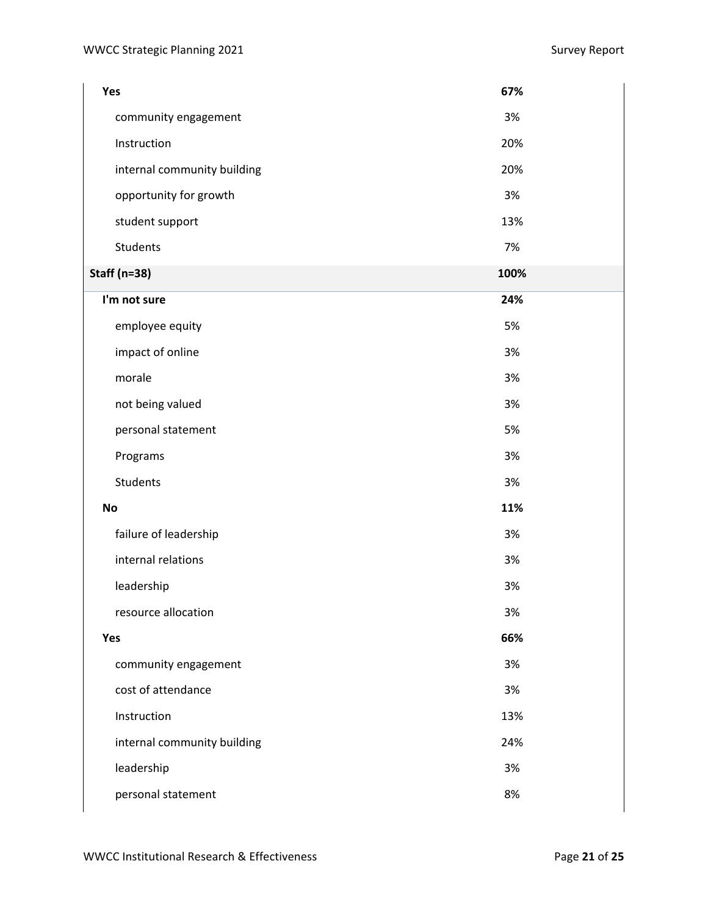| Yes                         | 67%  |
|-----------------------------|------|
| community engagement        | 3%   |
| Instruction                 | 20%  |
| internal community building | 20%  |
| opportunity for growth      | 3%   |
| student support             | 13%  |
| Students                    | 7%   |
| <b>Staff (n=38)</b>         | 100% |
| I'm not sure                | 24%  |
| employee equity             | 5%   |
| impact of online            | 3%   |
| morale                      | 3%   |
| not being valued            | 3%   |
| personal statement          | 5%   |
| Programs                    | 3%   |
| Students                    | 3%   |
| <b>No</b>                   | 11%  |
| failure of leadership       | 3%   |
| internal relations          | 3%   |
| leadership                  | 3%   |
| resource allocation         | 3%   |
| Yes                         | 66%  |
| community engagement        | 3%   |
| cost of attendance          | 3%   |
| Instruction                 | 13%  |
| internal community building | 24%  |
| leadership                  | 3%   |
| personal statement          | 8%   |
|                             |      |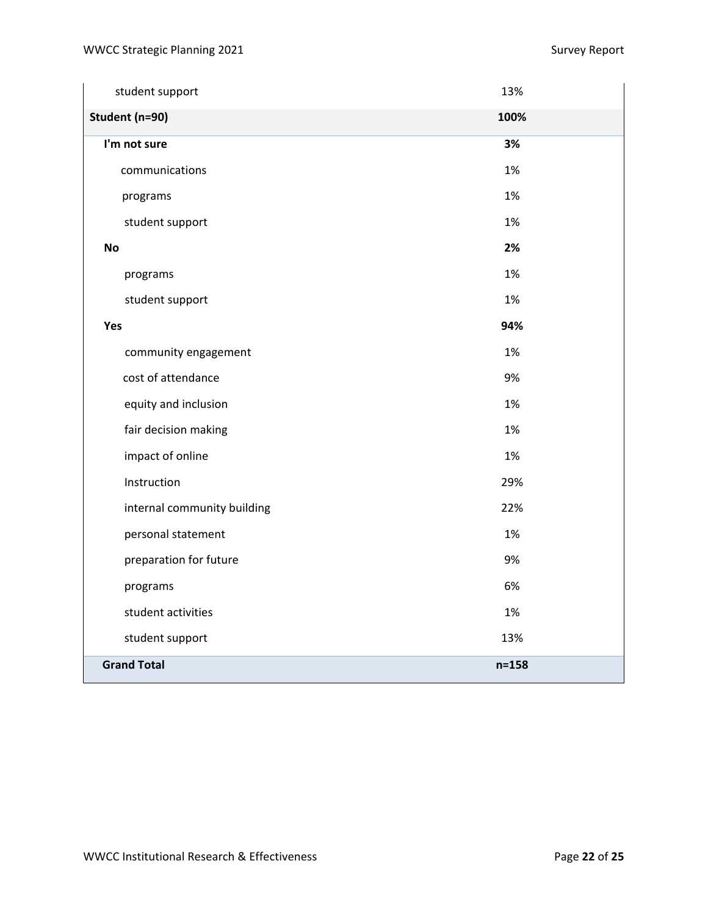| student support             | 13%       |
|-----------------------------|-----------|
| Student (n=90)              | 100%      |
| I'm not sure                | 3%        |
| communications              | 1%        |
| programs                    | 1%        |
| student support             | 1%        |
| <b>No</b>                   | 2%        |
| programs                    | 1%        |
| student support             | 1%        |
| Yes                         | 94%       |
| community engagement        | 1%        |
| cost of attendance          | 9%        |
| equity and inclusion        | 1%        |
| fair decision making        | 1%        |
| impact of online            | 1%        |
| Instruction                 | 29%       |
| internal community building | 22%       |
| personal statement          | 1%        |
| preparation for future      | 9%        |
| programs                    | 6%        |
| student activities          | 1%        |
| student support             | 13%       |
| <b>Grand Total</b>          | $n = 158$ |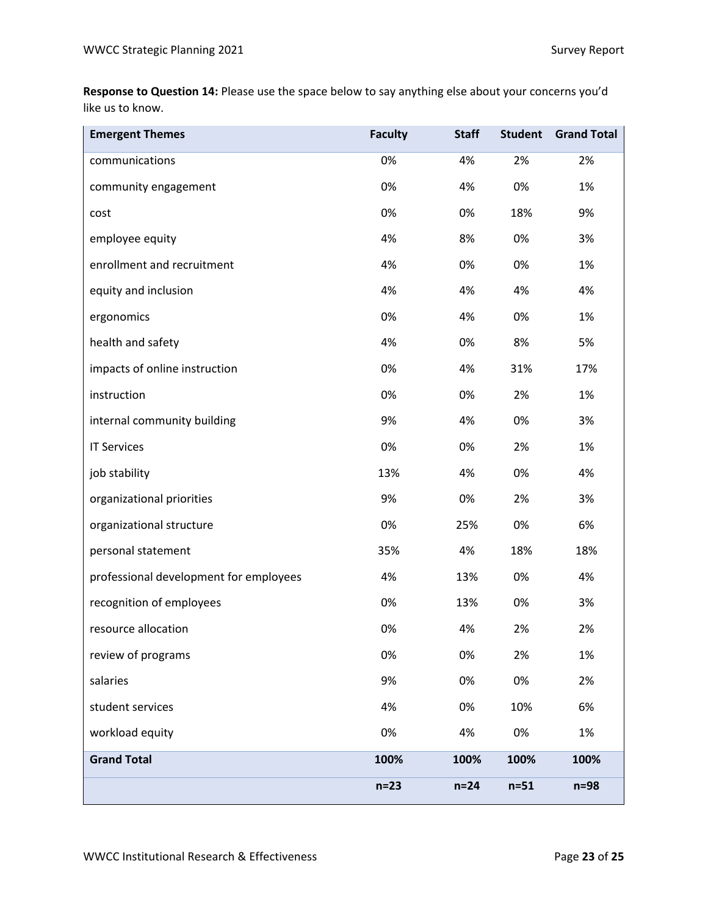**Response to Question 14:** Please use the space below to say anything else about your concerns you'd like us to know.

| <b>Emergent Themes</b>                 | <b>Faculty</b> | <b>Staff</b> | <b>Student</b> | <b>Grand Total</b> |
|----------------------------------------|----------------|--------------|----------------|--------------------|
| communications                         | 0%             | 4%           | 2%             | 2%                 |
| community engagement                   | 0%             | 4%           | 0%             | 1%                 |
| cost                                   | 0%             | 0%           | 18%            | 9%                 |
| employee equity                        | 4%             | 8%           | 0%             | 3%                 |
| enrollment and recruitment             | 4%             | 0%           | 0%             | 1%                 |
| equity and inclusion                   | 4%             | 4%           | 4%             | 4%                 |
| ergonomics                             | 0%             | 4%           | 0%             | 1%                 |
| health and safety                      | 4%             | 0%           | 8%             | 5%                 |
| impacts of online instruction          | 0%             | 4%           | 31%            | 17%                |
| instruction                            | 0%             | 0%           | 2%             | 1%                 |
| internal community building            | 9%             | 4%           | 0%             | 3%                 |
| <b>IT Services</b>                     | 0%             | 0%           | 2%             | 1%                 |
| job stability                          | 13%            | 4%           | 0%             | 4%                 |
| organizational priorities              | 9%             | 0%           | 2%             | 3%                 |
| organizational structure               | 0%             | 25%          | 0%             | 6%                 |
| personal statement                     | 35%            | 4%           | 18%            | 18%                |
| professional development for employees | 4%             | 13%          | 0%             | 4%                 |
| recognition of employees               | 0%             | 13%          | 0%             | 3%                 |
| resource allocation                    | 0%             | 4%           | 2%             | 2%                 |
| review of programs                     | 0%             | 0%           | 2%             | 1%                 |
| salaries                               | 9%             | 0%           | 0%             | 2%                 |
| student services                       | 4%             | 0%           | 10%            | 6%                 |
| workload equity                        | 0%             | 4%           | 0%             | 1%                 |
| <b>Grand Total</b>                     | 100%           | 100%         | 100%           | 100%               |
|                                        | $n=23$         | $n=24$       | $n=51$         | $n=98$             |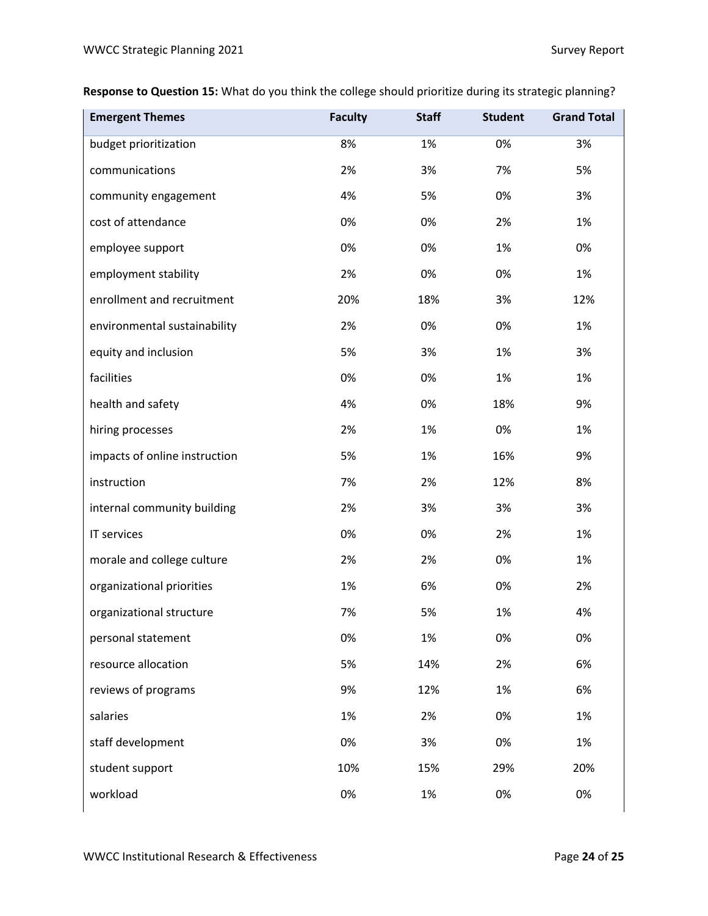**Response to Question 15:** What do you think the college should prioritize during its strategic planning?

| <b>Emergent Themes</b>        | <b>Faculty</b> | <b>Staff</b> | <b>Student</b> | <b>Grand Total</b> |
|-------------------------------|----------------|--------------|----------------|--------------------|
| budget prioritization         | 8%             | 1%           | 0%             | 3%                 |
| communications                | 2%             | 3%           | 7%             | 5%                 |
| community engagement          | 4%             | 5%           | 0%             | 3%                 |
| cost of attendance            | 0%             | 0%           | 2%             | 1%                 |
| employee support              | 0%             | 0%           | 1%             | 0%                 |
| employment stability          | 2%             | 0%           | 0%             | 1%                 |
| enrollment and recruitment    | 20%            | 18%          | 3%             | 12%                |
| environmental sustainability  | 2%             | 0%           | 0%             | 1%                 |
| equity and inclusion          | 5%             | 3%           | 1%             | 3%                 |
| facilities                    | 0%             | 0%           | 1%             | 1%                 |
| health and safety             | 4%             | 0%           | 18%            | 9%                 |
| hiring processes              | 2%             | 1%           | 0%             | 1%                 |
| impacts of online instruction | 5%             | 1%           | 16%            | 9%                 |
| instruction                   | 7%             | 2%           | 12%            | 8%                 |
| internal community building   | 2%             | 3%           | 3%             | 3%                 |
| IT services                   | 0%             | 0%           | 2%             | 1%                 |
| morale and college culture    | 2%             | 2%           | 0%             | 1%                 |
| organizational priorities     | 1%             | 6%           | 0%             | 2%                 |
| organizational structure      | 7%             | 5%           | 1%             | 4%                 |
| personal statement            | 0%             | 1%           | 0%             | 0%                 |
| resource allocation           | 5%             | 14%          | 2%             | 6%                 |
| reviews of programs           | 9%             | 12%          | 1%             | 6%                 |
| salaries                      | 1%             | 2%           | 0%             | 1%                 |
| staff development             | 0%             | 3%           | 0%             | 1%                 |
| student support               | 10%            | 15%          | 29%            | 20%                |
| workload                      | 0%             | 1%           | 0%             | 0%                 |